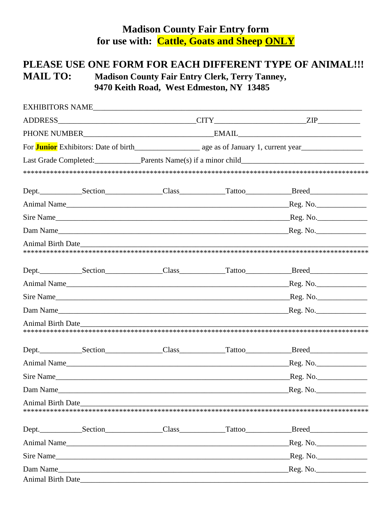## **Madison County Fair Entry form** for use with: Cattle, Goats and Sheep ONLY

## PLEASE USE ONE FORM FOR EACH DIFFERENT TYPE OF ANIMAL !!! **MAIL TO: Madison County Fair Entry Clerk, Terry Tanney,** 9470 Keith Road, West Edmeston, NY 13485

|                          |                                                                                                                                                                                                                                    |  |  | Last Grade Completed: Parents Name(s) if a minor child___________________________                    |  |
|--------------------------|------------------------------------------------------------------------------------------------------------------------------------------------------------------------------------------------------------------------------------|--|--|------------------------------------------------------------------------------------------------------|--|
|                          |                                                                                                                                                                                                                                    |  |  |                                                                                                      |  |
|                          |                                                                                                                                                                                                                                    |  |  | Dept._______________Section_________________Class______________Tattoo____________Breed______________ |  |
|                          |                                                                                                                                                                                                                                    |  |  |                                                                                                      |  |
|                          |                                                                                                                                                                                                                                    |  |  |                                                                                                      |  |
|                          |                                                                                                                                                                                                                                    |  |  |                                                                                                      |  |
|                          | Animal Birth Date <b>Exercise 2</b>                                                                                                                                                                                                |  |  |                                                                                                      |  |
|                          |                                                                                                                                                                                                                                    |  |  | Dept. Section Class Class Tattoo Breed                                                               |  |
|                          |                                                                                                                                                                                                                                    |  |  |                                                                                                      |  |
|                          |                                                                                                                                                                                                                                    |  |  |                                                                                                      |  |
|                          | Dam Name                                                                                                                                                                                                                           |  |  | Reg. No.                                                                                             |  |
|                          | Animal Birth Date <b>Exercise 2</b> and the set of the set of the set of the set of the set of the set of the set of the set of the set of the set of the set of the set of the set of the set of the set of the set of the set of |  |  |                                                                                                      |  |
|                          |                                                                                                                                                                                                                                    |  |  | Dept. Section Class Class Tattoo Breed                                                               |  |
|                          |                                                                                                                                                                                                                                    |  |  |                                                                                                      |  |
|                          |                                                                                                                                                                                                                                    |  |  | Sire Name Reg. No.                                                                                   |  |
| Dam Name                 |                                                                                                                                                                                                                                    |  |  |                                                                                                      |  |
| <b>Animal Birth Date</b> |                                                                                                                                                                                                                                    |  |  |                                                                                                      |  |
|                          |                                                                                                                                                                                                                                    |  |  | Dept. Section Class Class Tattoo Breed                                                               |  |
|                          |                                                                                                                                                                                                                                    |  |  |                                                                                                      |  |
|                          |                                                                                                                                                                                                                                    |  |  |                                                                                                      |  |
|                          |                                                                                                                                                                                                                                    |  |  |                                                                                                      |  |
| <b>Animal Birth Date</b> |                                                                                                                                                                                                                                    |  |  |                                                                                                      |  |